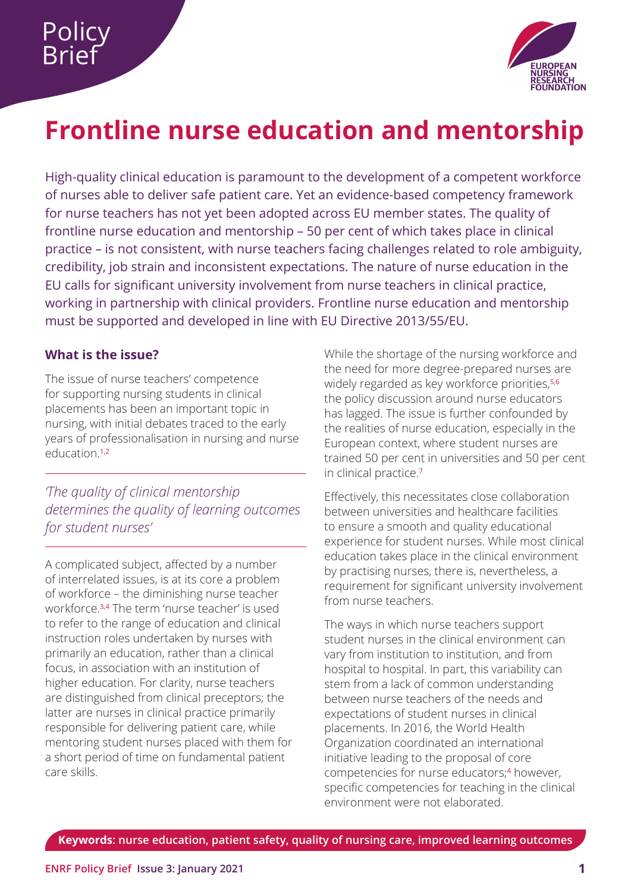

# <span id="page-0-0"></span>**Frontline nurse education and mentorship**

High-quality clinical education is paramount to the development of a competent workforce of nurses able to deliver safe patient care. Yet an evidence-based competency framework for nurse teachers has not yet been adopted across EU member states. The quality of frontline nurse education and mentorship – 50 per cent of which takes place in clinical practice – is not consistent, with nurse teachers facing challenges related to role ambiguity, credibility, job strain and inconsistent expectations. The nature of nurse education in the EU calls for significant university involvement from nurse teachers in clinical practice, working in partnership with clinical providers. Frontline nurse education and mentorship must be supported and developed in line with EU Directive 2013/55/EU.

## **What is the issue?**

The issue of nurse teachers' competence for supporting nursing students in clinical placements has been an important topic in nursing, with initial debates traced to the early years of professionalisation in nursing and nurse education.[1,2](#page-5-0)

*'The quality of clinical mentorship determines the quality of learning outcomes for student nurses'*

A complicated subject, affected by a number of interrelated issues, is at its core a problem of workforce – the diminishing nurse teacher workforce.[3,4](#page-5-0) The term 'nurse teacher' is used to refer to the range of education and clinical instruction roles undertaken by nurses with primarily an education, rather than a clinical focus, in association with an institution of higher education. For clarity, nurse teachers are distinguished from clinical preceptors; the latter are nurses in clinical practice primarily responsible for delivering patient care, while mentoring student nurses placed with them for a short period of time on fundamental patient care skills.

While the shortage of the nursing workforce and the need for more degree-prepared nurses are widely regarded as key workforce priorities,<sup>[5,6](#page-5-0)</sup> the policy discussion around nurse educators has lagged. The issue is further confounded by the realities of nurse education, especially in the European context, where student nurses are trained 50 per cent in universities and 50 per cent in clinical practice.[7](#page-5-0)

Effectively, this necessitates close collaboration between universities and healthcare facilities to ensure a smooth and quality educational experience for student nurses. While most clinical education takes place in the clinical environment by practising nurses, there is, nevertheless, a requirement for significant university involvement from nurse teachers.

The ways in which nurse teachers support student nurses in the clinical environment can vary from institution to institution, and from hospital to hospital. In part, this variability can stem from a lack of common understanding between nurse teachers of the needs and expectations of student nurses in clinical placements. In 2016, the World Health Organization coordinated an international initiative leading to the proposal of core competencies for nurse educators;<sup>4</sup> however, specific competencies for teaching in the clinical environment were not elaborated.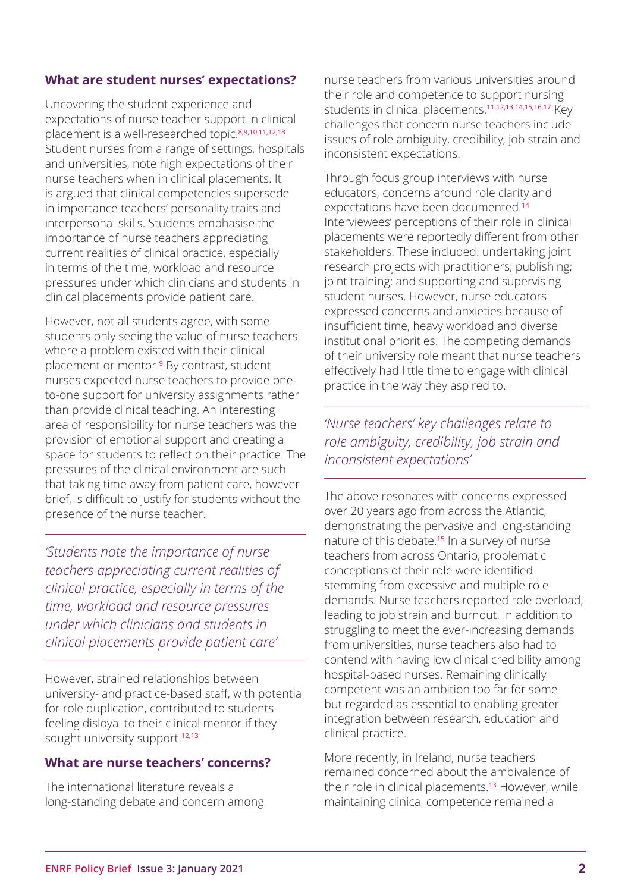#### <span id="page-1-0"></span>**What are student nurses' expectations?**

Uncovering the student experience and expectations of nurse teacher support in clinical placement is a well-researched topic.<sup>[8,9,10,11,12,13](#page-5-0)</sup> Student nurses from a range of settings, hospitals and universities, note high expectations of their nurse teachers when in clinical placements. It is argued that clinical competencies supersede in importance teachers' personality traits and interpersonal skills. Students emphasise the importance of nurse teachers appreciating current realities of clinical practice, especially in terms of the time, workload and resource pressures under which clinicians and students in clinical placements provide patient care.

However, not all students agree, with some students only seeing the value of nurse teachers where a problem existed with their clinical placement or mentor.<sup>9</sup> By contrast, student nurses expected nurse teachers to provide oneto-one support for university assignments rather than provide clinical teaching. An interesting area of responsibility for nurse teachers was the provision of emotional support and creating a space for students to reflect on their practice. The pressures of the clinical environment are such that taking time away from patient care, however brief, is difficult to justify for students without the presence of the nurse teacher.

*'Students note the importance of nurse teachers appreciating current realities of clinical practice, especially in terms of the time, workload and resource pressures under which clinicians and students in clinical placements provide patient care'*

However, strained relationships between university- and practice-based staff, with potential for role duplication, contributed to students feeling disloyal to their clinical mentor if they sought university support.<sup>12,13</sup>

#### **What are nurse teachers' concerns?**

The international literature reveals a long-standing debate and concern among

nurse teachers from various universities around their role and competence to support nursing students in clinical placements.[11,12,13,14,15,16,17](#page-5-0) Key challenges that concern nurse teachers include issues of role ambiguity, credibility, job strain and inconsistent expectations.

Through focus group interviews with nurse educators, concerns around role clarity and expectations have been documented.<sup>14</sup> Interviewees' perceptions of their role in clinical placements were reportedly different from other stakeholders. These included: undertaking joint research projects with practitioners; publishing; joint training; and supporting and supervising student nurses. However, nurse educators expressed concerns and anxieties because of insufficient time, heavy workload and diverse institutional priorities. The competing demands of their university role meant that nurse teachers effectively had little time to engage with clinical practice in the way they aspired to.

# *'Nurse teachers' key challenges relate to role ambiguity, credibility, job strain and inconsistent expectations'*

The above resonates with concerns expressed over 20 years ago from across the Atlantic, demonstrating the pervasive and long-standing nature of this debate.<sup>15</sup> In a survey of nurse teachers from across Ontario, problematic conceptions of their role were identified stemming from excessive and multiple role demands. Nurse teachers reported role overload, leading to job strain and burnout. In addition to struggling to meet the ever-increasing demands from universities, nurse teachers also had to contend with having low clinical credibility among hospital-based nurses. Remaining clinically competent was an ambition too far for some but regarded as essential to enabling greater integration between research, education and clinical practice.

More recently, in Ireland, nurse teachers remained concerned about the ambivalence of their role in clinical placements.<sup>13</sup> However, while maintaining clinical competence remained a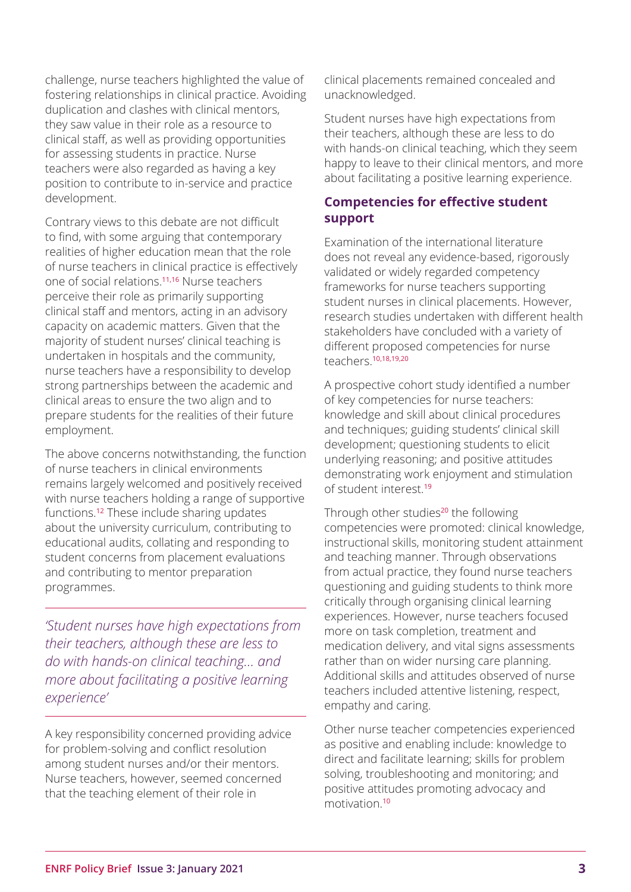<span id="page-2-0"></span>challenge, nurse teachers highlighted the value of fostering relationships in clinical practice. Avoiding duplication and clashes with clinical mentors, they saw value in their role as a resource to clinical staff, as well as providing opportunities for assessing students in practice. Nurse teachers were also regarded as having a key position to contribute to in-service and practice development.

Contrary views to this debate are not difficult to find, with some arguing that contemporary realities of higher education mean that the role of nurse teachers in clinical practice is effectively one of social relations.11,16 Nurse teachers perceive their role as primarily supporting clinical staff and mentors, acting in an advisory capacity on academic matters. Given that the majority of student nurses' clinical teaching is undertaken in hospitals and the community, nurse teachers have a responsibility to develop strong partnerships between the academic and clinical areas to ensure the two align and to prepare students for the realities of their future employment.

The above concerns notwithstanding, the function of nurse teachers in clinical environments remains largely welcomed and positively received with nurse teachers holding a range of supportive functions.<sup>12</sup> These include sharing updates about the university curriculum, contributing to educational audits, collating and responding to student concerns from placement evaluations and contributing to mentor preparation programmes.

*'Student nurses have high expectations from their teachers, although these are less to do with hands-on clinical teaching… and more about facilitating a positive learning experience'*

A key responsibility concerned providing advice for problem-solving and conflict resolution among student nurses and/or their mentors. Nurse teachers, however, seemed concerned that the teaching element of their role in

clinical placements remained concealed and unacknowledged.

Student nurses have high expectations from their teachers, although these are less to do with hands-on clinical teaching, which they seem happy to leave to their clinical mentors, and more about facilitating a positive learning experience.

# **Competencies for effective student support**

Examination of the international literature does not reveal any evidence-based, rigorously validated or widely regarded competency frameworks for nurse teachers supporting student nurses in clinical placements. However, research studies undertaken with different health stakeholders have concluded with a variety of different proposed competencies for nurse teachers.[10,18,19,20](#page-5-0)

A prospective cohort study identified a number of key competencies for nurse teachers: knowledge and skill about clinical procedures and techniques; guiding students' clinical skill development; questioning students to elicit underlying reasoning; and positive attitudes demonstrating work enjoyment and stimulation of student interest.<sup>19</sup>

Through other studies<sup>20</sup> the following competencies were promoted: clinical knowledge, instructional skills, monitoring student attainment and teaching manner. Through observations from actual practice, they found nurse teachers questioning and guiding students to think more critically through organising clinical learning experiences. However, nurse teachers focused more on task completion, treatment and medication delivery, and vital signs assessments rather than on wider nursing care planning. Additional skills and attitudes observed of nurse teachers included attentive listening, respect, empathy and caring.

Other nurse teacher competencies experienced as positive and enabling include: knowledge to direct and facilitate learning; skills for problem solving, troubleshooting and monitoring; and positive attitudes promoting advocacy and motivation.10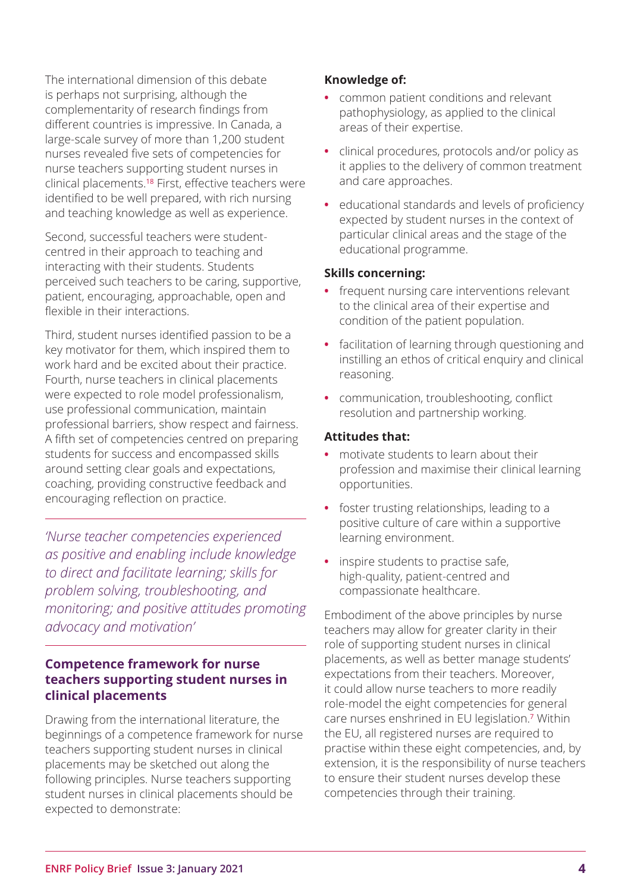The international dimension of this debate is perhaps not surprising, although the complementarity of research findings from different countries is impressive. In Canada, a large-scale survey of more than 1,200 student nurses revealed five sets of competencies for nurse teachers supporting student nurses in clinical placements.<sup>18</sup> First, effective teachers were identified to be well prepared, with rich nursing and teaching knowledge as well as experience.

Second, successful teachers were studentcentred in their approach to teaching and interacting with their students. Students perceived such teachers to be caring, supportive, patient, encouraging, approachable, open and flexible in their interactions.

Third, student nurses identified passion to be a key motivator for them, which inspired them to work hard and be excited about their practice. Fourth, nurse teachers in clinical placements were expected to role model professionalism, use professional communication, maintain professional barriers, show respect and fairness. A fifth set of competencies centred on preparing students for success and encompassed skills around setting clear goals and expectations, coaching, providing constructive feedback and encouraging reflection on practice.

*'Nurse teacher competencies experienced as positive and enabling include knowledge to direct and facilitate learning; skills for problem solving, troubleshooting, and monitoring; and positive attitudes promoting advocacy and motivation'*

## **Competence framework for nurse teachers supporting student nurses in clinical placements**

Drawing from the international literature, the beginnings of a competence framework for nurse teachers supporting student nurses in clinical placements may be sketched out along the following principles. Nurse teachers supporting student nurses in clinical placements should be expected to demonstrate:

## **Knowledge of:**

- **•** common patient conditions and relevant pathophysiology, as applied to the clinical areas of their expertise.
- **•** clinical procedures, protocols and/or policy as it applies to the delivery of common treatment and care approaches.
- **•** educational standards and levels of proficiency expected by student nurses in the context of particular clinical areas and the stage of the educational programme.

#### **Skills concerning:**

- **•** frequent nursing care interventions relevant to the clinical area of their expertise and condition of the patient population.
- **•** facilitation of learning through questioning and instilling an ethos of critical enquiry and clinical reasoning.
- **•** communication, troubleshooting, conflict resolution and partnership working.

#### **Attitudes that:**

- **•** motivate students to learn about their profession and maximise their clinical learning opportunities.
- **•** foster trusting relationships, leading to a positive culture of care within a supportive learning environment.
- **•** inspire students to practise safe, high-quality, patient-centred and compassionate healthcare.

Embodiment of the above principles by nurse teachers may allow for greater clarity in their role of supporting student nurses in clinical placements, as well as better manage students' expectations from their teachers. Moreover, it could allow nurse teachers to more readily role-model the eight competencies for general care nurses enshrined in EU legislation.<sup>7</sup> Within the EU, all registered nurses are required to practise within these eight competencies, and, by extension, it is the responsibility of nurse teachers to ensure their student nurses develop these competencies through their training.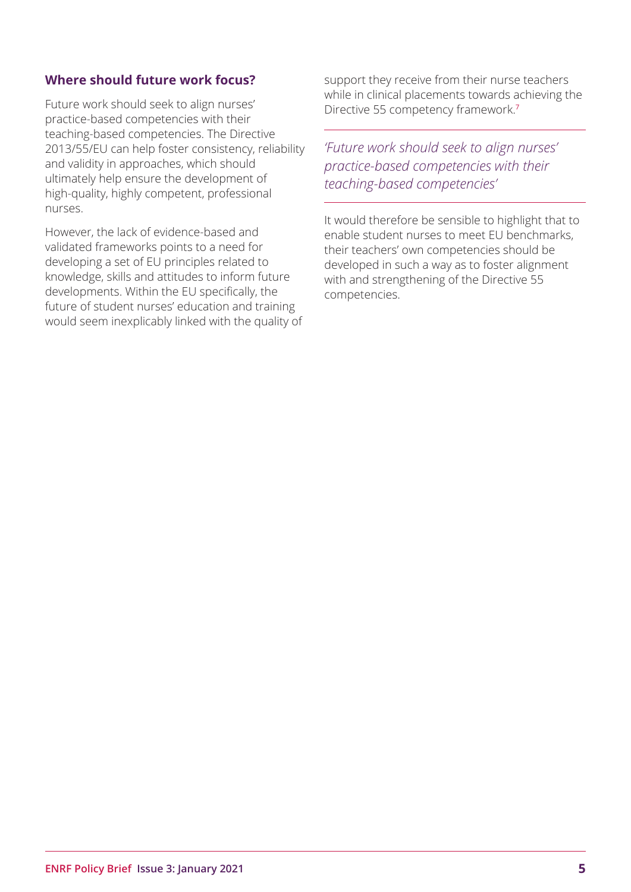#### **Where should future work focus?**

Future work should seek to align nurses' practice-based competencies with their teaching-based competencies. The Directive 2013/55/EU can help foster consistency, reliability and validity in approaches, which should ultimately help ensure the development of high-quality, highly competent, professional nurses.

However, the lack of evidence-based and validated frameworks points to a need for developing a set of EU principles related to knowledge, skills and attitudes to inform future developments. Within the EU specifically, the future of student nurses' education and training would seem inexplicably linked with the quality of support they receive from their nurse teachers while in clinical placements towards achieving the Directive 55 competency framework.<sup>7</sup>

*'Future work should seek to align nurses' practice-based competencies with their teaching-based competencies'*

It would therefore be sensible to highlight that to enable student nurses to meet EU benchmarks, their teachers' own competencies should be developed in such a way as to foster alignment with and strengthening of the Directive 55 competencies.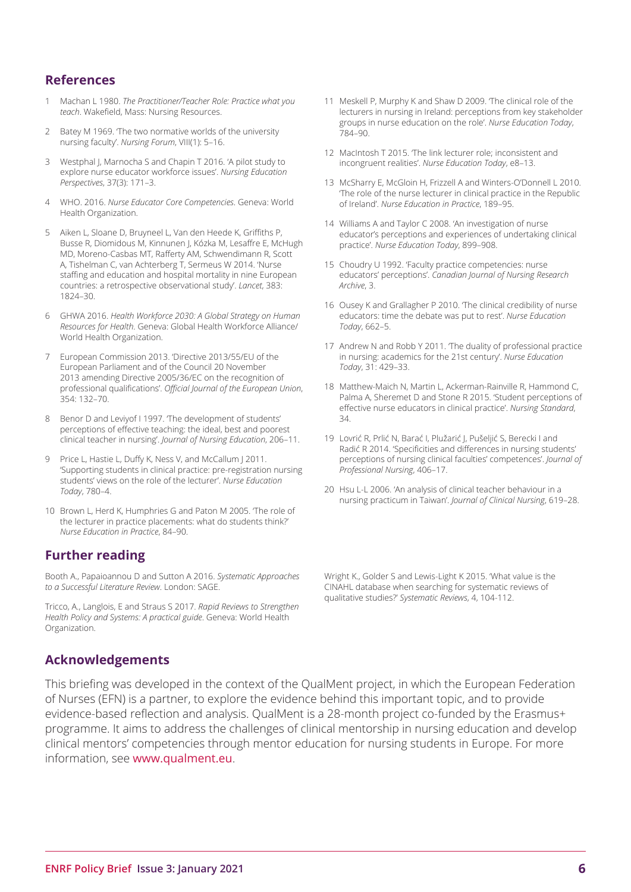#### <span id="page-5-0"></span>**References**

- [1](#page-0-0) Machan L 1980. *The Practitioner/Teacher Role: Practice what you teach*. Wakefield, Mass: Nursing Resources.
- [2](#page-0-0) Batey M 1969. The two normative worlds of the university nursing faculty'. *Nursing Forum*, VIII(1): 5–16.
- [3](#page-0-0) Westphal J, Marnocha S and Chapin T 2016. 'A pilot study to explore nurse educator workforce issues'. *Nursing Education Perspectives*, 37(3): 171–3.
- [4](#page-0-0) WHO. 2016. *Nurse Educator Core Competencies*. Geneva: World Health Organization.
- [5](#page-0-0) Aiken L, Sloane D, Bruyneel L, Van den Heede K, Griffiths P, Busse R, Diomidous M, Kinnunen J, Kózka M, Lesaffre E, McHugh MD, Moreno-Casbas MT, Rafferty AM, Schwendimann R, Scott A, Tishelman C, van Achterberg T, Sermeus W 2014. 'Nurse staffing and education and hospital mortality in nine European countries: a retrospective observational study'. *Lancet*, 383: 1824–30.
- [6](#page-0-0) GHWA 2016. *Health Workforce 2030: A Global Strategy on Human Resources for Health*. Geneva: Global Health Workforce Alliance/ World Health Organization.
- [7](#page-0-0) European Commission 2013. 'Directive 2013/55/EU of the European Parliament and of the Council 20 November 2013 amending Directive 2005/36/EC on the recognition of professional qualifications'. *Official Journal of the European Union*, 354: 132–70.
- [8](#page-1-0) Benor D and Leviyof I 1997. The development of students' perceptions of effective teaching: the ideal, best and poorest clinical teacher in nursing'. *Journal of Nursing Education*, 206–11.
- [9](#page-1-0) Price L, Hastie L, Duffy K, Ness V, and McCallum | 2011. 'Supporting students in clinical practice: pre-registration nursing students' views on the role of the lecturer'. *Nurse Education Today*, 780–4.
- [10](#page-1-0) Brown L, Herd K, Humphries G and Paton M 2005. 'The role of the lecturer in practice placements: what do students think?' *Nurse Education in Practice*, 84–90.

#### **Further reading**

Booth A., Papaioannou D and Sutton A 2016. *Systematic Approaches to a Successful Literature Review*. London: SAGE.

Tricco, A., Langlois, E and Straus S 2017. *Rapid Reviews to Strengthen Health Policy and Systems: A practical guide*. Geneva: World Health Organization.

- [11](#page-1-0) Meskell P, Murphy K and Shaw D 2009. 'The clinical role of the lecturers in nursing in Ireland: perceptions from key stakeholder groups in nurse education on the role'. *Nurse Education Today*, 784–90.
- [12](#page-1-0) MacIntosh T 2015. The link lecturer role: inconsistent and incongruent realities'. *Nurse Education Today*, e8–13.
- [13](#page-1-0) McSharry E, McGloin H, Frizzell A and Winters-O'Donnell L 2010. 'The role of the nurse lecturer in clinical practice in the Republic of Ireland'. *Nurse Education in Practice*, 189–95.
- [14](#page-1-0) Williams A and Taylor C 2008. 'An investigation of nurse educator's perceptions and experiences of undertaking clinical practice'. *Nurse Education Today*, 899–908.
- [15](#page-1-0) Choudry U 1992. 'Faculty practice competencies: nurse educators' perceptions'. *Canadian Journal of Nursing Research Archive*, 3.
- [16](#page-1-0) Ousey K and Grallagher P 2010. The clinical credibility of nurse educators: time the debate was put to rest'. *Nurse Education Today*, 662–5.
- [17](#page-1-0) Andrew N and Robb Y 2011. 'The duality of professional practice in nursing: academics for the 21st century'. *Nurse Education Today*, 31: 429–33.
- [18](#page-2-0) Matthew-Maich N, Martin L, Ackerman-Rainville R, Hammond C, Palma A, Sheremet D and Stone R 2015. 'Student perceptions of effective nurse educators in clinical practice'. *Nursing Standard*, 34.
- [19](#page-2-0) Lovrić R, Prlić N, Barać I, Plužarić J, Pušeljić S, Berecki I and Radić R 2014. 'Specificities and differences in nursing students' perceptions of nursing clinical faculties' competences'. *Journal of Professional Nursing*, 406–17.
- [20](#page-2-0) Hsu L-L 2006. 'An analysis of clinical teacher behaviour in a nursing practicum in Taiwan'. *Journal of Clinical Nursing*, 619–28.

Wright K., Golder S and Lewis-Light K 2015. 'What value is the CINAHL database when searching for systematic reviews of qualitative studies?' *Systematic Reviews*, 4, 104-112.

#### **Acknowledgements**

This briefing was developed in the context of the QualMent project, in which the European Federation of Nurses (EFN) is a partner, to explore the evidence behind this important topic, and to provide evidence-based reflection and analysis. QualMent is a 28-month project co-funded by the Erasmus+ programme. It aims to address the challenges of clinical mentorship in nursing education and develop clinical mentors' competencies through mentor education for nursing students in Europe. For more information, see [www.qualment.eu](http://www.qualment.eu).